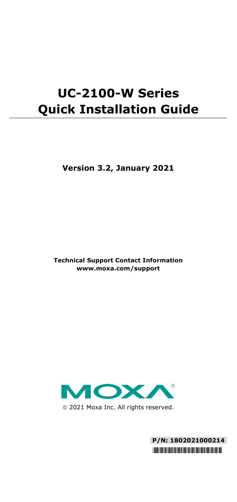# **UC-2100-W Series Quick Installation Guide**

**Version 3.2, January 2021**

**Technical Support Contact Information www.moxa.com/support**



2021 Moxa Inc. All rights reserved.

**P/N: 1802021000214** \*1802021000214\*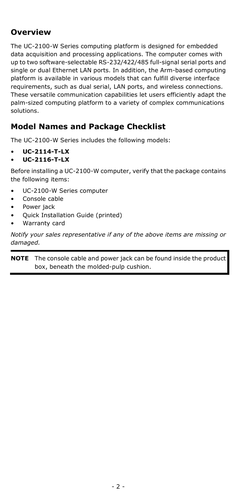### **Overview**

The UC-2100-W Series computing platform is designed for embedded data acquisition and processing applications. The computer comes with up to two software-selectable RS-232/422/485 full-signal serial ports and single or dual Ethernet LAN ports. In addition, the Arm-based computing platform is available in various models that can fulfill diverse interface requirements, such as dual serial, LAN ports, and wireless connections. These versatile communication capabilities let users efficiently adapt the palm-sized computing platform to a variety of complex communications solutions.

#### **Model Names and Package Checklist**

The UC-2100-W Series includes the following models:

- **UC-2114-T-LX**
- **UC-2116-T-LX**

Before installing a UC-2100-W computer, verify that the package contains the following items:

- UC-2100-W Series computer
- Console cable
- Power jack
- Quick Installation Guide (printed)
- Warranty card

*Notify your sales representative if any of the above items are missing or damaged.*

**NOTE** The console cable and power jack can be found inside the product box, beneath the molded-pulp cushion.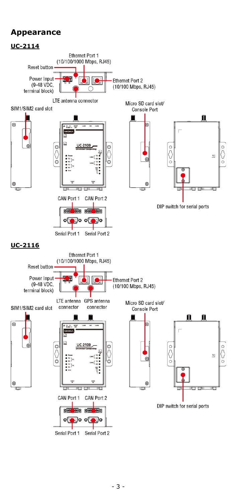#### **Appearance**

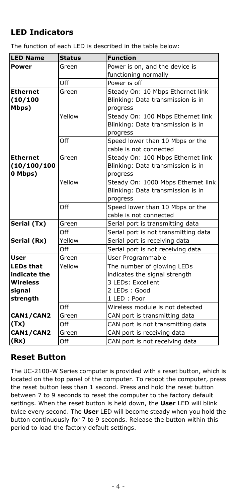# **LED Indicators**

The function of each LED is described in the table below:

| <b>LED Name</b>  | <b>Status</b> | <b>Function</b>                      |
|------------------|---------------|--------------------------------------|
| Power            | Green         | Power is on, and the device is       |
|                  |               | functioning normally                 |
|                  | Off           | Power is off                         |
| <b>Ethernet</b>  | Green         | Steady On: 10 Mbps Ethernet link     |
| (10/100          |               | Blinking: Data transmission is in    |
| Mbps)            |               | progress                             |
|                  | Yellow        | Steady On: 100 Mbps Ethernet link    |
|                  |               | Blinking: Data transmission is in    |
|                  |               | progress                             |
|                  | Off           | Speed lower than 10 Mbps or the      |
|                  |               | cable is not connected               |
| <b>Ethernet</b>  | Green         | Steady On: 100 Mbps Ethernet link    |
| (10/100/100)     |               | Blinking: Data transmission is in    |
| 0 Mbps)          |               | progress                             |
|                  | Yellow        | Steady On: 1000 Mbps Ethernet link   |
|                  |               | Blinking: Data transmission is in    |
|                  |               | progress                             |
|                  | Off           | Speed lower than 10 Mbps or the      |
|                  |               | cable is not connected               |
| Serial (Tx)      | Green         | Serial port is transmitting data     |
|                  | Off           | Serial port is not transmitting data |
| Serial (Rx)      | Yellow        | Serial port is receiving data        |
|                  | Off           | Serial port is not receiving data    |
| <b>User</b>      | Green         | User Programmable                    |
| <b>LEDs that</b> | Yellow        | The number of glowing LEDs           |
| indicate the     |               | indicates the signal strength        |
| <b>Wireless</b>  |               | 3 LEDs: Excellent                    |
| signal           |               | 2 LEDs: Good                         |
| strength         |               | 1 LED : Poor                         |
|                  | Off           | Wireless module is not detected      |
| CAN1/CAN2        | Green         | CAN port is transmitting data        |
| (Tx)             | Off           | CAN port is not transmitting data    |
| CAN1/CAN2        | Green         | CAN port is receiving data           |
| (Rx)             | Off           | CAN port is not receiving data       |

#### **Reset Button**

The UC-2100-W Series computer is provided with a reset button, which is located on the top panel of the computer. To reboot the computer, press the reset button less than 1 second. Press and hold the reset button between 7 to 9 seconds to reset the computer to the factory default settings. When the reset button is held down, the **User** LED will blink twice every second. The **User** LED will become steady when you hold the button continuously for 7 to 9 seconds. Release the button within this period to load the factory default settings.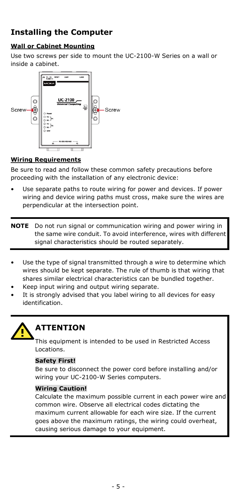# **Installing the Computer**

#### **Wall or Cabinet Mounting**

Use two screws per side to mount the UC-2100-W Series on a wall or inside a cabinet.



#### **Wiring Requirements**

Be sure to read and follow these common safety precautions before proceeding with the installation of any electronic device:

- Use separate paths to route wiring for power and devices. If power wiring and device wiring paths must cross, make sure the wires are perpendicular at the intersection point.
- **NOTE** Do not run signal or communication wiring and power wiring in the same wire conduit. To avoid interference, wires with different signal characteristics should be routed separately.
- Use the type of signal transmitted through a wire to determine which wires should be kept separate. The rule of thumb is that wiring that shares similar electrical characteristics can be bundled together.
- Keep input wiring and output wiring separate.
- It is strongly advised that you label wiring to all devices for easy identification.



#### **ATTENTION**

This equipment is intended to be used in Restricted Access Locations.

#### **Safety First!**

Be sure to disconnect the power cord before installing and/or wiring your UC-2100-W Series computers.

#### **Wiring Caution!**

Calculate the maximum possible current in each power wire and common wire. Observe all electrical codes dictating the maximum current allowable for each wire size. If the current goes above the maximum ratings, the wiring could overheat, causing serious damage to your equipment.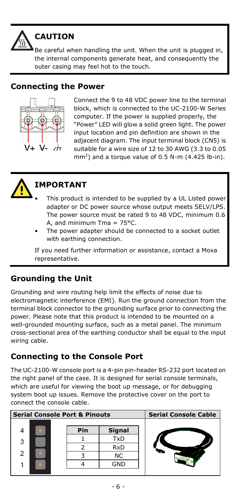

# **CAUTION**

Be careful when handling the unit. When the unit is plugged in, the internal components generate heat, and consequently the outer casing may feel hot to the touch.

#### **Connecting the Power**



Connect the 9 to 48 VDC power line to the terminal block, which is connected to the UC-2100-W Series computer. If the power is supplied properly, the "Power" LED will glow a solid green light. The power input location and pin definition are shown in the adjacent diagram. The input terminal block (CN5) is suitable for a wire size of 12 to 30 AWG (3.3 to 0.05 mm<sup>2</sup>) and a torque value of 0.5 N-m (4.425 lb-in).



# **IMPORTANT**

- This product is intended to be supplied by a UL Listed power adapter or DC power source whose output meets SELV/LPS. The power source must be rated 9 to 48 VDC, minimum 0.6 A, and minimum Tma =  $75^{\circ}$ C.
- The power adapter should be connected to a socket outlet with earthing connection.

If you need further information or assistance, contact a Moxa representative.

### **Grounding the Unit**

Grounding and wire routing help limit the effects of noise due to electromagnetic interference (EMI). Run the ground connection from the terminal block connector to the grounding surface prior to connecting the power. Please note that this product is intended to be mounted on a well-grounded mounting surface, such as a metal panel. The minimum cross-sectional area of the earthing conductor shall be equal to the input wiring cable.

### **Connecting to the Console Port**

The UC-2100-W console port is a 4-pin pin-header RS-232 port located on the right panel of the case. It is designed for serial console terminals, which are useful for viewing the boot up message, or for debugging system boot up issues. Remove the protective cover on the port to connect the console cable.

| <b>Serial Console Port &amp; Pinouts</b> |  |     | <b>Serial Console Cable</b> |  |
|------------------------------------------|--|-----|-----------------------------|--|
|                                          |  | Pin | <b>Signal</b>               |  |
| 3                                        |  |     | TxD                         |  |
|                                          |  |     | <b>RxD</b>                  |  |
| $\mathcal{P}$                            |  |     | NC                          |  |
|                                          |  |     | GND                         |  |
|                                          |  |     |                             |  |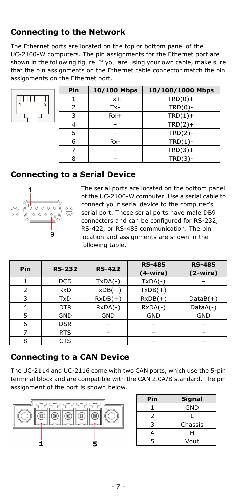## **Connecting to the Network**

The Ethernet ports are located on the top or bottom panel of the UC-2100-W computers. The pin assignments for the Ethernet port are shown in the following figure. If you are using your own cable, make sure that the pin assignments on the Ethernet cable connector match the pin assignments on the Ethernet port.



| Pin | 10/100 Mbps | 10/100/1000 Mbps |
|-----|-------------|------------------|
|     | $Tx +$      | $TRD(0) +$       |
| 2   | $Tx -$      | $TRD(0)$ -       |
|     | $Rx+$       | $TRD(1) +$       |
|     |             | $TRD(2) +$       |
|     |             | $TRD(2)-$        |
| 6   | $Rx-$       | $TRD(1)$ -       |
|     |             | $TRD(3) +$       |
| 8   |             | $TRD(3)-$        |

#### **Connecting to a Serial Device**



The serial ports are located on the bottom panel of the UC-2100-W computer. Use a serial cable to connect your serial device to the computer's serial port. These serial ports have male DB9 connectors and can be configured for RS-232, RS-422, or RS-485 communication. The pin location and assignments are shown in the following table.

| Pin | <b>RS-232</b> | <b>RS-422</b> | <b>RS-485</b><br>$(4-wire)$ | <b>RS-485</b><br>$(2-wire)$ |
|-----|---------------|---------------|-----------------------------|-----------------------------|
|     | <b>DCD</b>    | $TxDA(-)$     | $TxDA(-)$                   |                             |
|     | <b>RxD</b>    | $TxDB(+)$     | $TxDB(+)$                   |                             |
| 3   | TxD           | $RxDB(+)$     | $RxDB(+)$                   | $DataB(+)$                  |
|     | <b>DTR</b>    | $RxDA(-)$     | $RxDA(-)$                   | $DataA(-)$                  |
|     | GND           | <b>GND</b>    | <b>GND</b>                  | <b>GND</b>                  |
| 6   | <b>DSR</b>    |               |                             |                             |
|     | <b>RTS</b>    |               |                             |                             |
| 8   | <b>CTS</b>    |               |                             |                             |

#### **Connecting to a CAN Device**

The UC-2114 and UC-2116 come with two CAN ports, which use the 5-pin terminal block and are compatible with the CAN 2.0A/B standard. The pin assignment of the port is shown below.



| Pin | Signal  |
|-----|---------|
|     | GND     |
| 2   | L       |
| ₹   | Chassis |
|     | н       |
| 5   | Vout    |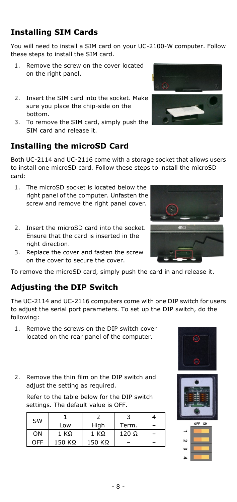# **Installing SIM Cards**

You will need to install a SIM card on your UC-2100-W computer. Follow these steps to install the SIM card.

- 1. Remove the screw on the cover located on the right panel.
- 2. Insert the SIM card into the socket. Make sure you place the chip-side on the bottom.
- 3. To remove the SIM card, simply push the SIM card and release it.

## **Installing the microSD Card**

Both UC-2114 and UC-2116 come with a storage socket that allows users to install one microSD card. Follow these steps to install the microSD card:

- 1. The microSD socket is located below the right panel of the computer. Unfasten the screw and remove the right panel cover.
- 2. Insert the microSD card into the socket Ensure that the card is inserted in the right direction.
- 3. Replace the cover and fasten the screw on the cover to secure the cover.

To remove the microSD card, simply push the card in and release it.

### **Adjusting the DIP Switch**

The UC-2114 and UC-2116 computers come with one DIP switch for users to adjust the serial port parameters. To set up the DIP switch, do the following:

- 1. Remove the screws on the DIP switch cover located on the rear panel of the computer.
- 2. Remove the thin film on the DIP switch and adjust the setting as required.

Refer to the table below for the DIP switch settings. The default value is OFF.

| <b>SW</b> |               |        |              |  |
|-----------|---------------|--------|--------------|--|
|           | Low           | High   | Term.        |  |
| ΟN        | 1 KO          | 1 KO   | $120 \Omega$ |  |
| ∩FF       | $150 K\Omega$ | 150 KΩ |              |  |









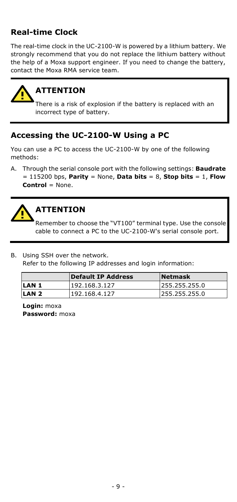## **Real-time Clock**

The real-time clock in the UC-2100-W is powered by a lithium battery. We strongly recommend that you do not replace the lithium battery without the help of a Moxa support engineer. If you need to change the battery, contact the Moxa RMA service team.



# **ATTENTION**

There is a risk of explosion if the battery is replaced with an incorrect type of battery.

### **Accessing the UC-2100-W Using a PC**

You can use a PC to access the UC-2100-W by one of the following methods:

A. Through the serial console port with the following settings: **Baudrate**  = 115200 bps, **Parity** = None, **Data bits** = 8, **Stop bits** = 1, **Flow Control** = None.



## **ATTENTION**

Remember to choose the "VT100" terminal type. Use the console cable to connect a PC to the UC-2100-W's serial console port.

B. Using SSH over the network. Refer to the following IP addresses and login information:

|                  | <b>Default IP Address</b> | <b>Netmask</b> |
|------------------|---------------------------|----------------|
| LAN <sub>1</sub> | 192.168.3.127             | 255.255.255.0  |
| LAN <sub>2</sub> | 192.168.4.127             | 255.255.255.0  |

**Login:** moxa **Password:** moxa